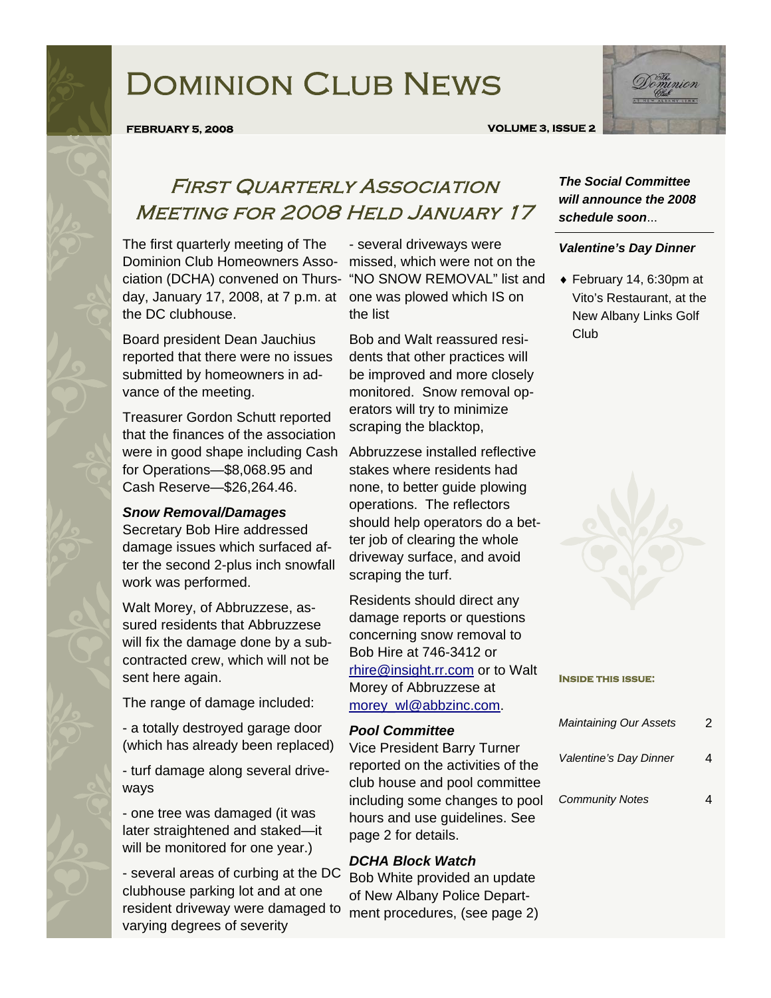# Dominion Club News



#### **FEBRUARY 5, 2008 VOLUME 3, ISSUE 2**

### First Quarterly Association Meeting for 2008 Held January 17

The first quarterly meeting of The Dominion Club Homeowners Asso-missed, which were not on the ciation (DCHA) convened on Thurs-"NO SNOW REMOVAL" list and day, January 17, 2008, at 7 p.m. at one was plowed which IS on the DC clubhouse.

Board president Dean Jauchius reported that there were no issues submitted by homeowners in advance of the meeting.

Treasurer Gordon Schutt reported that the finances of the association were in good shape including Cash for Operations—\$8,068.95 and Cash Reserve—\$26,264.46.

#### *Snow Removal/Damages*

Secretary Bob Hire addressed damage issues which surfaced after the second 2-plus inch snowfall work was performed.

Walt Morey, of Abbruzzese, assured residents that Abbruzzese will fix the damage done by a subcontracted crew, which will not be sent here again.

The range of damage included:

- a totally destroyed garage door (which has already been replaced)

- turf damage along several driveways

- one tree was damaged (it was later straightened and staked—it will be monitored for one year.)

- several areas of curbing at the DC clubhouse parking lot and at one resident driveway were damaged to varying degrees of severity

- several driveways were the list

Bob and Walt reassured residents that other practices will be improved and more closely monitored. Snow removal operators will try to minimize scraping the blacktop,

Abbruzzese installed reflective stakes where residents had none, to better guide plowing operations. The reflectors should help operators do a better job of clearing the whole driveway surface, and avoid scraping the turf.

Residents should direct any damage reports or questions concerning snow removal to Bob Hire at 746-3412 or rhire@insight.rr.com or to Walt Morey of Abbruzzese at morey\_wl@abbzinc.com.

### *Pool Committee*

Vice President Barry Turner reported on the activities of the club house and pool committee including some changes to pool hours and use guidelines. See page 2 for details.

### *DCHA Block Watch*

Bob White provided an update of New Albany Police Department procedures, (see page 2)

### *The Social Committee will announce the 2008 schedule soon*...

#### *Valentine's Day Dinner*

♦ February 14, 6:30pm at Vito's Restaurant, at the New Albany Links Golf Club



#### **Inside this issue:**

| <b>Maintaining Our Assets</b> | 2 |
|-------------------------------|---|
| Valentine's Day Dinner        |   |
| <b>Community Notes</b>        |   |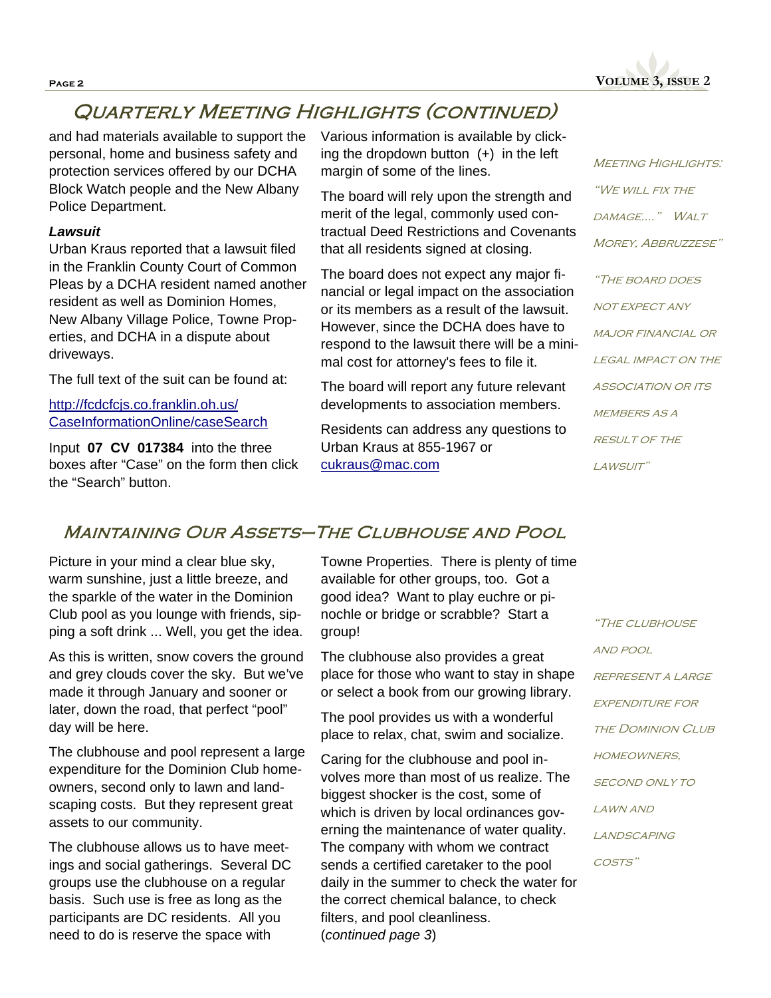

## Quarterly Meeting Highlights (continued)

and had materials available to support the personal, home and business safety and protection services offered by our DCHA Block Watch people and the New Albany Police Department.

### *Lawsuit*

Urban Kraus reported that a lawsuit filed in the Franklin County Court of Common Pleas by a DCHA resident named another resident as well as Dominion Homes, New Albany Village Police, Towne Properties, and DCHA in a dispute about driveways.

The full text of the suit can be found at:

http://fcdcfcjs.co.franklin.oh.us/ CaseInformationOnline/caseSearch

Input **07 CV 017384** into the three boxes after "Case" on the form then click the "Search" button.

Various information is available by clicking the dropdown button  $(+)$  in the left margin of some of the lines.

The board will rely upon the strength and merit of the legal, commonly used contractual Deed Restrictions and Covenants that all residents signed at closing.

The board does not expect any major financial or legal impact on the association or its members as a result of the lawsuit. However, since the DCHA does have to respond to the lawsuit there will be a minimal cost for attorney's fees to file it.

The board will report any future relevant developments to association members.

Residents can address any questions to Urban Kraus at 855-1967 or cukraus@mac.com

**MEETING HIGHLIGHTS:** "We will fix the damage…." Walt MOREY, ABBRUZZESE" "The board does not expect any major financial or LEGAL IMPACT ON THE association or its MEMBERS AS A RESULT OF THE LAWSUIT"

### Maintaining Our Assets–The Clubhouse and Pool

Picture in your mind a clear blue sky, warm sunshine, just a little breeze, and the sparkle of the water in the Dominion Club pool as you lounge with friends, sipping a soft drink ... Well, you get the idea.

As this is written, snow covers the ground and grey clouds cover the sky. But we've made it through January and sooner or later, down the road, that perfect "pool" day will be here.

The clubhouse and pool represent a large expenditure for the Dominion Club homeowners, second only to lawn and landscaping costs. But they represent great assets to our community.

The clubhouse allows us to have meetings and social gatherings. Several DC groups use the clubhouse on a regular basis. Such use is free as long as the participants are DC residents. All you need to do is reserve the space with

Towne Properties. There is plenty of time available for other groups, too. Got a good idea? Want to play euchre or pinochle or bridge or scrabble? Start a group!

The clubhouse also provides a great place for those who want to stay in shape or select a book from our growing library.

The pool provides us with a wonderful place to relax, chat, swim and socialize.

Caring for the clubhouse and pool involves more than most of us realize. The biggest shocker is the cost, some of which is driven by local ordinances governing the maintenance of water quality. The company with whom we contract sends a certified caretaker to the pool daily in the summer to check the water for the correct chemical balance, to check filters, and pool cleanliness. (*continued page 3*)

"The clubhouse and pool represent a large **EXPENDITURE FOR THE DOMINION CLUB HOMEOWNERS** second only to lawn and **LANDSCAPING** costs"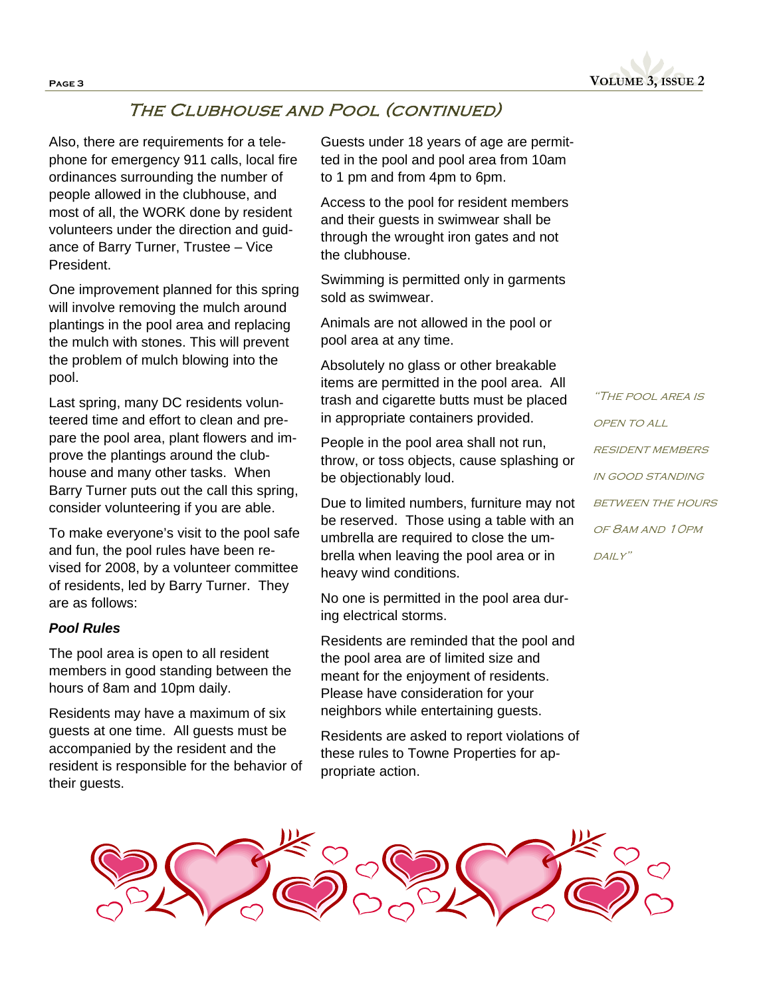

### The Clubhouse and Pool (continued)

Also, there are requirements for a telephone for emergency 911 calls, local fire ordinances surrounding the number of people allowed in the clubhouse, and most of all, the WORK done by resident volunteers under the direction and guidance of Barry Turner, Trustee – Vice President.

One improvement planned for this spring will involve removing the mulch around plantings in the pool area and replacing the mulch with stones. This will prevent the problem of mulch blowing into the pool.

Last spring, many DC residents volunteered time and effort to clean and prepare the pool area, plant flowers and improve the plantings around the clubhouse and many other tasks. When Barry Turner puts out the call this spring, consider volunteering if you are able.

To make everyone's visit to the pool safe and fun, the pool rules have been revised for 2008, by a volunteer committee of residents, led by Barry Turner. They are as follows:

### *Pool Rules*

The pool area is open to all resident members in good standing between the hours of 8am and 10pm daily.

Residents may have a maximum of six guests at one time. All guests must be accompanied by the resident and the resident is responsible for the behavior of their guests.

Guests under 18 years of age are permitted in the pool and pool area from 10am to 1 pm and from 4pm to 6pm.

Access to the pool for resident members and their guests in swimwear shall be through the wrought iron gates and not the clubhouse.

Swimming is permitted only in garments sold as swimwear.

Animals are not allowed in the pool or pool area at any time.

Absolutely no glass or other breakable items are permitted in the pool area. All trash and cigarette butts must be placed in appropriate containers provided.

People in the pool area shall not run, throw, or toss objects, cause splashing or be objectionably loud.

Due to limited numbers, furniture may not be reserved. Those using a table with an umbrella are required to close the umbrella when leaving the pool area or in heavy wind conditions.

No one is permitted in the pool area during electrical storms.

Residents are reminded that the pool and the pool area are of limited size and meant for the enjoyment of residents. Please have consideration for your neighbors while entertaining guests.

Residents are asked to report violations of these rules to Towne Properties for appropriate action.

"The pool area is open to all **RESIDENT MEMBERS** in good standing **BETWEEN THE HOURS** of 8am and 10pm  $DAILY''$